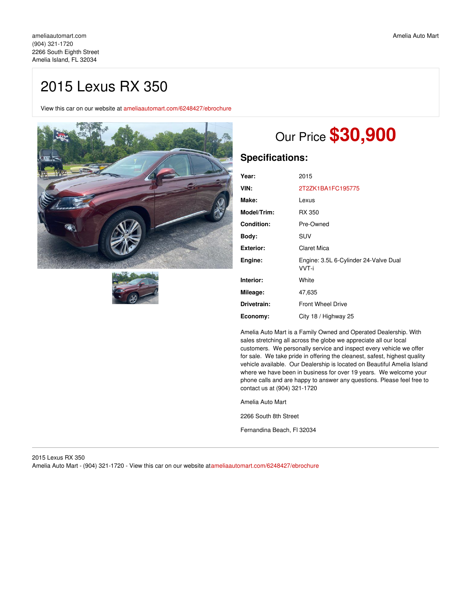## 2015 Lexus RX 350

View this car on our website at [ameliaautomart.com/6248427/ebrochure](https://ameliaautomart.com/vehicle/6248427/2015-lexus-rx-350-amelia-island-fl-32034/6248427/ebrochure)





# Our Price **\$30,900**

## **Specifications:**

| Year:             | 2015                                           |
|-------------------|------------------------------------------------|
| VIN:              | 2T2ZK1BA1FC195775                              |
| Make:             | Lexus                                          |
| Model/Trim:       | RX 350                                         |
| <b>Condition:</b> | Pre-Owned                                      |
| Body:             | SUV                                            |
| <b>Exterior:</b>  | Claret Mica                                    |
| Engine:           | Engine: 3.5L 6-Cylinder 24-Valve Dual<br>VVT-i |
| Interior:         | White                                          |
| Mileage:          | 47,635                                         |
| Drivetrain:       | <b>Front Wheel Drive</b>                       |
| Economy:          | City 18 / Highway 25                           |

Amelia Auto Mart is a Family Owned and Operated Dealership. With sales stretching all across the globe we appreciate all our local customers. We personally service and inspect every vehicle we offer for sale. We take pride in offering the cleanest, safest, highest quality vehicle available. Our Dealership is located on Beautiful Amelia Island where we have been in business for over 19 years. We welcome your phone calls and are happy to answer any questions. Please feel free to contact us at (904) 321-1720

Amelia Auto Mart

2266 South 8th Street

Fernandina Beach, Fl 32034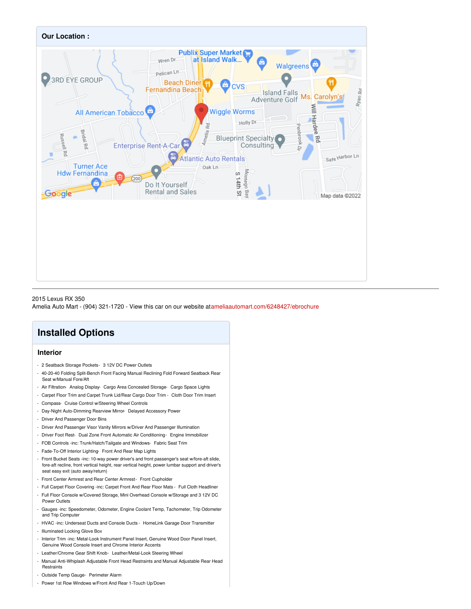

## 2015 Lexus RX 350

Amelia Auto Mart - (904) 321-1720 - View this car on our website at[ameliaautomart.com/6248427/ebrochure](https://ameliaautomart.com/vehicle/6248427/2015-lexus-rx-350-amelia-island-fl-32034/6248427/ebrochure)

## **Installed Options**

## **Interior**

- 2 Seatback Storage Pockets- 3 12V DC Power Outlets
- 40-20-40 Folding Split-Bench Front Facing Manual Reclining Fold Forward Seatback Rear Seat w/Manual Fore/Aft
- Air Filtration- Analog Display- Cargo Area Concealed Storage- Cargo Space Lights
- Carpet Floor Trim and Carpet Trunk Lid/Rear Cargo Door Trim Cloth Door Trim Insert
- Compass- Cruise Control w/Steering Wheel Controls
- Day-Night Auto-Dimming Rearview Mirror- Delayed Accessory Power
- Driver And Passenger Door Bins
- Driver And Passenger Visor Vanity Mirrors w/Driver And Passenger Illumination
- Driver Foot Rest- Dual Zone Front Automatic Air Conditioning- Engine Immobilizer
- FOB Controls -inc: Trunk/Hatch/Tailgate and Windows- Fabric Seat Trim
- Fade-To-Off Interior Lighting- Front And Rear Map Lights
- Front Bucket Seats -inc: 10-way power driver's and front passenger's seat w/fore-aft slide, fore-aft recline, front vertical height, rear vertical height, power lumbar support and driver's seat easy exit (auto away/return)
- Front Center Armrest and Rear Center Armrest- Front Cupholder
- Full Carpet Floor Covering -inc: Carpet Front And Rear Floor Mats Full Cloth Headliner
- Full Floor Console w/Covered Storage, Mini Overhead Console w/Storage and 3 12V DC Power Outlets
- Gauges -inc: Speedometer, Odometer, Engine Coolant Temp, Tachometer, Trip Odometer and Trip Computer
- HVAC -inc: Underseat Ducts and Console Ducts HomeLink Garage Door Transmitter
- Illuminated Locking Glove Box
- Interior Trim -inc: Metal-Look Instrument Panel Insert, Genuine Wood Door Panel Insert, Genuine Wood Console Insert and Chrome Interior Accents
- Leather/Chrome Gear Shift Knob- Leather/Metal-Look Steering Wheel
- Manual Anti-Whiplash Adjustable Front Head Restraints and Manual Adjustable Rear Head **Restraints**
- Outside Temp Gauge- Perimeter Alarm
- Power 1st Row Windows w/Front And Rear 1-Touch Up/Down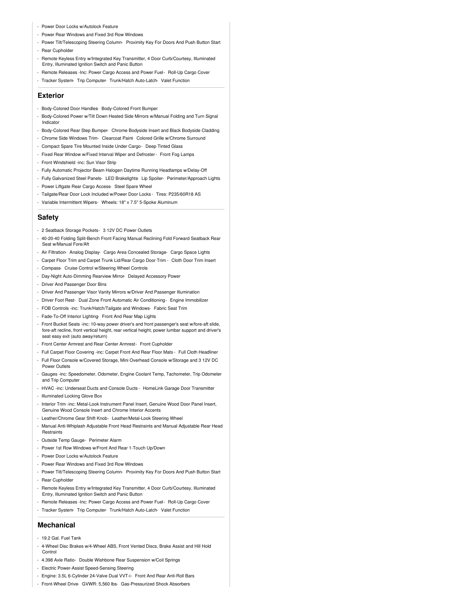- Power Door Locks w/Autolock Feature
- Power Rear Windows and Fixed 3rd Row Windows
- Power Tilt/Telescoping Steering Column- Proximity Key For Doors And Push Button Start - Rear Cupholder
- 
- Remote Keyless Entry w/Integrated Key Transmitter, 4 Door Curb/Courtesy, Illuminated Entry, Illuminated Ignition Switch and Panic Button
- Remote Releases -Inc: Power Cargo Access and Power Fuel- Roll-Up Cargo Cover
- Tracker System- Trip Computer- Trunk/Hatch Auto-Latch- Valet Function

#### **Exterior**

- Body-Colored Door Handles- Body-Colored Front Bumper
- Body-Colored Power w/Tilt Down Heated Side Mirrors w/Manual Folding and Turn Signal Indicator
- Body-Colored Rear Step Bumper- Chrome Bodyside Insert and Black Bodyside Cladding
- Chrome Side Windows Trim- Clearcoat Paint- Colored Grille w/Chrome Surround
- Compact Spare Tire Mounted Inside Under Cargo- Deep Tinted Glass
- Fixed Rear Window w/Fixed Interval Wiper and Defroster- Front Fog Lamps
- Front Windshield -inc: Sun Visor Strip
- Fully Automatic Projector Beam Halogen Daytime Running Headlamps w/Delay-Off
- Fully Galvanized Steel Panels- LED Brakelights- Lip Spoiler- Perimeter/Approach Lights - Power Liftgate Rear Cargo Access- Steel Spare Wheel
- Tailgate/Rear Door Lock Included w/Power Door Locks Tires: P235/60R18 AS
- Variable Intermittent Wipers- Wheels: 18" x 7.5" 5-Spoke Aluminum

## **Safety**

- 2 Seatback Storage Pockets- 3 12V DC Power Outlets
- 40-20-40 Folding Split-Bench Front Facing Manual Reclining Fold Forward Seatback Rear Seat w/Manual Fore/Aft
- Air Filtration- Analog Display- Cargo Area Concealed Storage- Cargo Space Lights
- Carpet Floor Trim and Carpet Trunk Lid/Rear Cargo Door Trim Cloth Door Trim Insert
- Compass- Cruise Control w/Steering Wheel Controls
- Day-Night Auto-Dimming Rearview Mirror- Delayed Accessory Power
- Driver And Passenger Door Bins
- Driver And Passenger Visor Vanity Mirrors w/Driver And Passenger Illumination
- Driver Foot Rest- Dual Zone Front Automatic Air Conditioning- Engine Immobilizer
- FOB Controls -inc: Trunk/Hatch/Tailgate and Windows- Fabric Seat Trim
- Fade-To-Off Interior Lighting- Front And Rear Map Lights
- Front Bucket Seats -inc: 10-way power driver's and front passenger's seat w/fore-aft slide, fore-aft recline, front vertical height, rear vertical height, power lumbar support and driver's seat easy exit (auto away/return)
- Front Center Armrest and Rear Center Armrest- Front Cupholder
- Full Carpet Floor Covering -inc: Carpet Front And Rear Floor Mats Full Cloth Headliner
- Full Floor Console w/Covered Storage, Mini Overhead Console w/Storage and 3 12V DC Power Outlets
- Gauges -inc: Speedometer, Odometer, Engine Coolant Temp, Tachometer, Trip Odometer and Trip Computer
- HVAC -inc: Underseat Ducts and Console Ducts HomeLink Garage Door Transmitter
- Illuminated Locking Glove Box

- Interior Trim -inc: Metal-Look Instrument Panel Insert, Genuine Wood Door Panel Insert, Genuine Wood Console Insert and Chrome Interior Accents

- Leather/Chrome Gear Shift Knob- Leather/Metal-Look Steering Wheel
- Manual Anti-Whiplash Adjustable Front Head Restraints and Manual Adjustable Rear Head **Restraints**
- Outside Temp Gauge- Perimeter Alarm
- Power 1st Row Windows w/Front And Rear 1-Touch Up/Down
- Power Door Locks w/Autolock Feature
- Power Rear Windows and Fixed 3rd Row Windows
- Power Tilt/Telescoping Steering Column- Proximity Key For Doors And Push Button Start - Rear Cupholder
- Remote Keyless Entry w/Integrated Key Transmitter, 4 Door Curb/Courtesy, Illuminated Entry, Illuminated Ignition Switch and Panic Button
- Remote Releases -Inc: Power Cargo Access and Power Fuel- Roll-Up Cargo Cover
- Tracker System- Trip Computer- Trunk/Hatch Auto-Latch- Valet Function

## **Mechanical**

- 19.2 Gal. Fuel Tank
- 4-Wheel Disc Brakes w/4-Wheel ABS, Front Vented Discs, Brake Assist and Hill Hold **Control**
- 4.398 Axle Ratio- Double Wishbone Rear Suspension w/Coil Springs
- Electric Power-Assist Speed-Sensing Steering
- Engine: 3.5L 6-Cylinder 24-Valve Dual VVT-i- Front And Rear Anti-Roll Bars
- Front-Wheel Drive- GVWR: 5,560 lbs- Gas-Pressurized Shock Absorbers